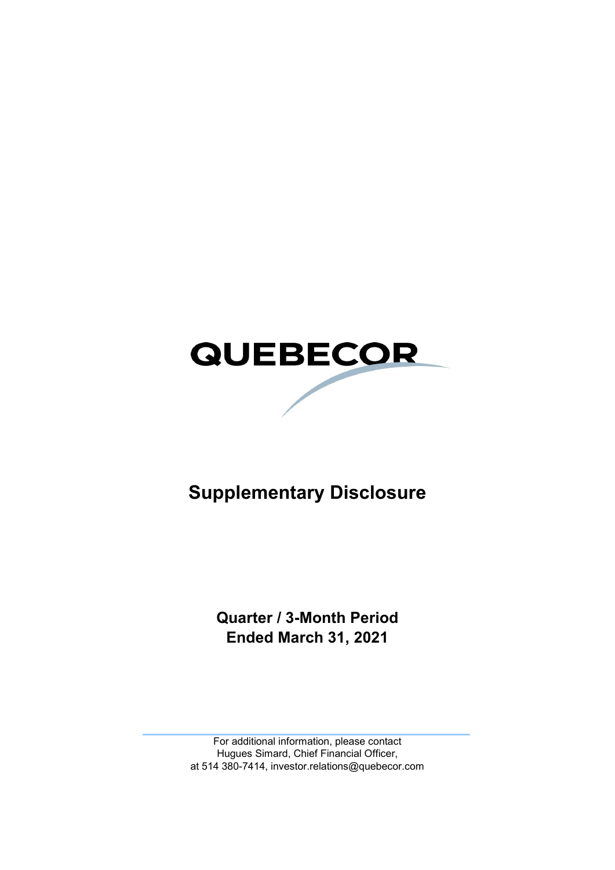

# **Supplementary Disclosure**

**Quarter / 3-Month Period Ended March 31, 2021**

For additional information, please contact Hugues Simard, Chief Financial Officer, at 514 380-7414, investor.relations@quebecor.com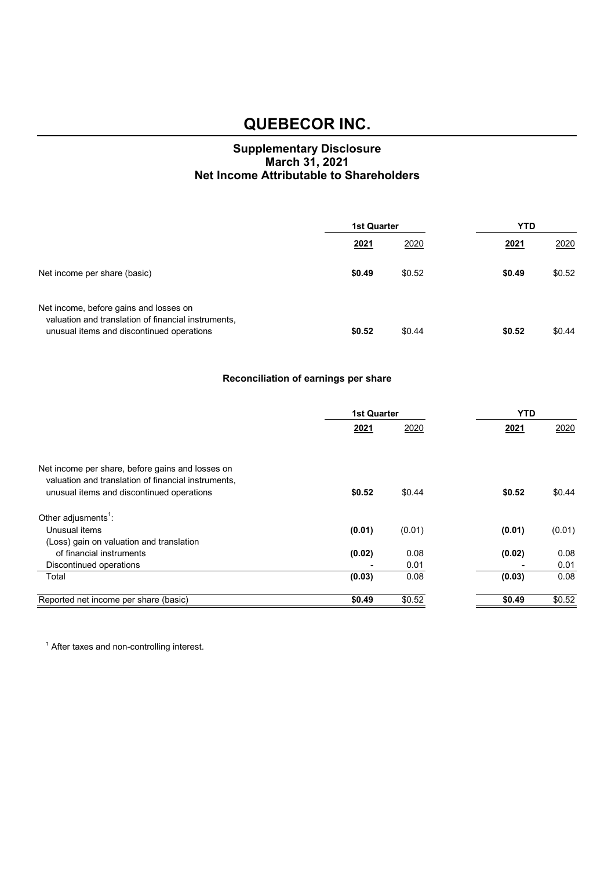#### **Supplementary Disclosure March 31, 2021 Net Income Attributable to Shareholders**

|                                                                                                                                            | <b>1st Quarter</b> |        | YTD    |        |
|--------------------------------------------------------------------------------------------------------------------------------------------|--------------------|--------|--------|--------|
|                                                                                                                                            | 2021               | 2020   | 2021   | 2020   |
| Net income per share (basic)                                                                                                               | \$0.49             | \$0.52 | \$0.49 | \$0.52 |
| Net income, before gains and losses on<br>valuation and translation of financial instruments,<br>unusual items and discontinued operations | \$0.52             | \$0.44 | \$0.52 | \$0.44 |

#### **Reconciliation of earnings per share**

|                                                                                                         | <b>1st Quarter</b> |        | <b>YTD</b> |        |  |
|---------------------------------------------------------------------------------------------------------|--------------------|--------|------------|--------|--|
|                                                                                                         | 2021               | 2020   | 2021       | 2020   |  |
|                                                                                                         |                    |        |            |        |  |
| Net income per share, before gains and losses on<br>valuation and translation of financial instruments, |                    |        |            |        |  |
| unusual items and discontinued operations                                                               | \$0.52             | \$0.44 | \$0.52     | \$0.44 |  |
| Other adjusments <sup>1</sup> :                                                                         |                    |        |            |        |  |
| Unusual items                                                                                           | (0.01)             | (0.01) | (0.01)     | (0.01) |  |
| (Loss) gain on valuation and translation                                                                |                    |        |            |        |  |
| of financial instruments                                                                                | (0.02)             | 0.08   | (0.02)     | 0.08   |  |
| Discontinued operations                                                                                 |                    | 0.01   |            | 0.01   |  |
| Total                                                                                                   | (0.03)             | 0.08   | (0.03)     | 0.08   |  |
| Reported net income per share (basic)                                                                   | \$0.49             | \$0.52 | \$0.49     | \$0.52 |  |

<sup>1</sup> After taxes and non-controlling interest.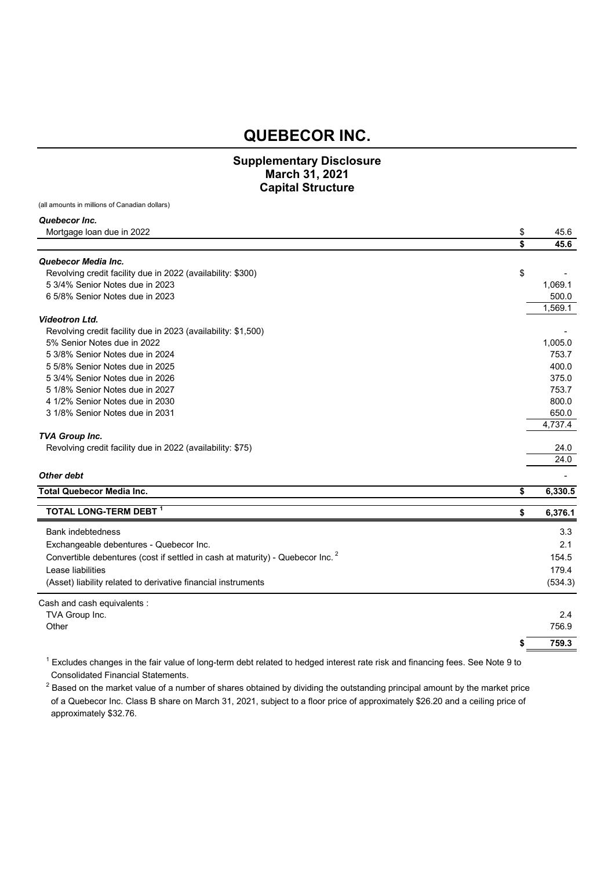#### **Supplementary Disclosure March 31, 2021 Capital Structure**

(all amounts in millions of Canadian dollars)

| Quebecor Inc.                                                 |            |
|---------------------------------------------------------------|------------|
| Mortgage loan due in 2022                                     | \$<br>45.6 |
|                                                               | \$<br>45.6 |
| Quebecor Media Inc.                                           |            |
| Revolving credit facility due in 2022 (availability: \$300)   | \$         |
| 5 3/4% Senior Notes due in 2023                               | 1,069.1    |
| 6 5/8% Senior Notes due in 2023                               | 500.0      |
|                                                               | 1,569.1    |
| <b>Videotron Ltd.</b>                                         |            |
| Revolving credit facility due in 2023 (availability: \$1,500) |            |
| 5% Senior Notes due in 2022                                   | 1,005.0    |
| 5 3/8% Senior Notes due in 2024                               | 753.7      |
| 5 5/8% Senior Notes due in 2025                               | 400.0      |
| 5 3/4% Senior Notes due in 2026                               | 375.0      |
| 5 1/8% Senior Notes due in 2027                               | 753.7      |
| 4 1/2% Senior Notes due in 2030                               | 800.0      |
| 3 1/8% Senior Notes due in 2031                               | 650.0      |
|                                                               | 4,737.4    |
| <b>TVA Group Inc.</b>                                         |            |
| Revolving credit facility due in 2022 (availability: \$75)    | 24.0       |
|                                                               | 24.0       |
| Other debt                                                    |            |

| <b>Total Quebecor Media Inc.</b>                                                          | 6,330.5 |
|-------------------------------------------------------------------------------------------|---------|
| TOTAL LONG-TERM DEBT 1                                                                    | 6,376.1 |
| <b>Bank indebtedness</b>                                                                  | 3.3     |
| Exchangeable debentures - Quebecor Inc.                                                   | 2.1     |
| Convertible debentures (cost if settled in cash at maturity) - Quebecor Inc. <sup>2</sup> | 154.5   |
| Lease liabilities                                                                         | 179.4   |
| (Asset) liability related to derivative financial instruments                             | (534.3) |
| Cash and cash equivalents:                                                                |         |
| TVA Group Inc.                                                                            | 2.4     |
| Other                                                                                     | 756.9   |

**\$ 759.3**

 $^1$  Excludes changes in the fair value of long-term debt related to hedged interest rate risk and financing fees. See Note 9 to Consolidated Financial Statements.

 $^2$  Based on the market value of a number of shares obtained by dividing the outstanding principal amount by the market price of a Quebecor Inc. Class B share on March 31, 2021, subject to a floor price of approximately \$26.20 and a ceiling price of approximately \$32.76.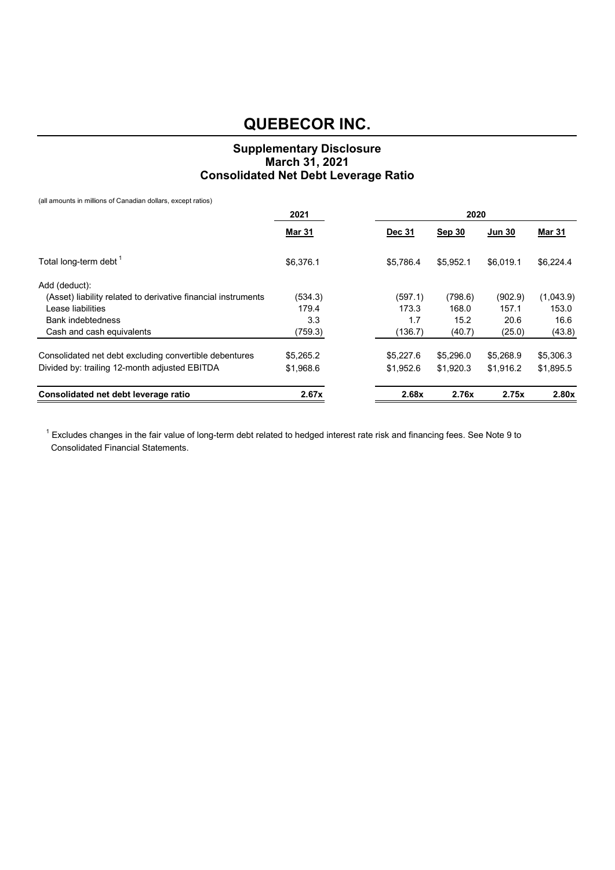#### **Supplementary Disclosure March 31, 2021 Consolidated Net Debt Leverage Ratio**

(all amounts in millions of Canadian dollars, except ratios)

|                                                               | 2021          |               | 2020          |               |               |
|---------------------------------------------------------------|---------------|---------------|---------------|---------------|---------------|
|                                                               | <b>Mar 31</b> | <b>Dec 31</b> | <b>Sep 30</b> | <b>Jun 30</b> | <b>Mar 31</b> |
| Total long-term debt <sup>1</sup>                             | \$6,376.1     | \$5,786.4     | \$5.952.1     | \$6.019.1     | \$6,224.4     |
| Add (deduct):                                                 |               |               |               |               |               |
| (Asset) liability related to derivative financial instruments | (534.3)       | (597.1)       | (798.6)       | (902.9)       | (1,043.9)     |
| Lease liabilities                                             | 179.4         | 173.3         | 168.0         | 157.1         | 153.0         |
| <b>Bank indebtedness</b>                                      | 3.3           | 1.7           | 15.2          | 20.6          | 16.6          |
| Cash and cash equivalents                                     | (759.3)       | (136.7)       | (40.7)        | (25.0)        | (43.8)        |
| Consolidated net debt excluding convertible debentures        | \$5,265.2     | \$5,227.6     | \$5,296.0     | \$5,268.9     | \$5,306.3     |
| Divided by: trailing 12-month adjusted EBITDA                 | \$1,968.6     | \$1,952.6     | \$1,920.3     | \$1,916.2     | \$1,895.5     |
| Consolidated net debt leverage ratio                          | 2.67x         | 2.68x         | 2.76x         | 2.75x         | 2.80x         |

 $^1$  Excludes changes in the fair value of long-term debt related to hedged interest rate risk and financing fees. See Note 9 to Consolidated Financial Statements.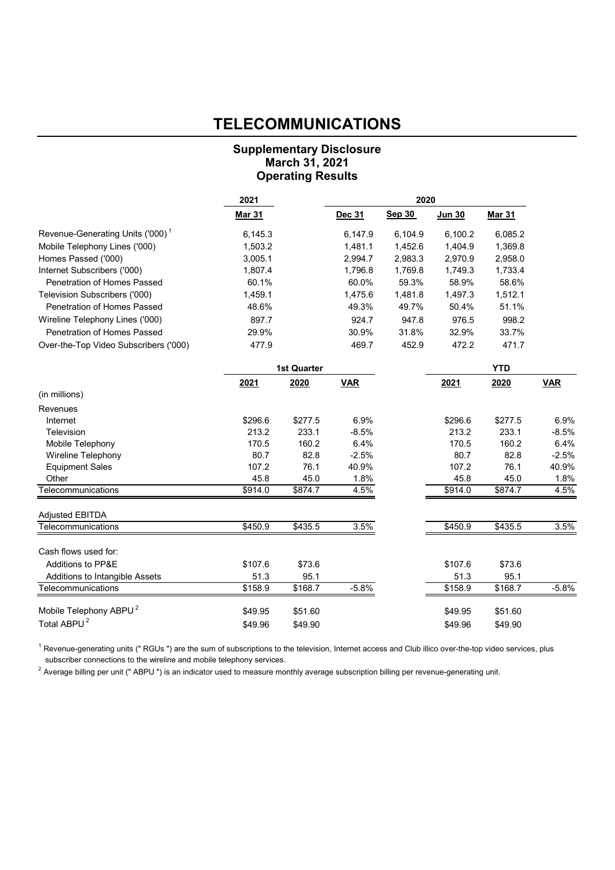### **TELECOMMUNICATIONS**

#### **Supplementary Disclosure March 31, 2021 Operating Results**

|                                              | 2021          |                     |            | 2020    |               |               |            |
|----------------------------------------------|---------------|---------------------|------------|---------|---------------|---------------|------------|
|                                              | <b>Mar 31</b> |                     | Dec 31     | Sep 30  | <b>Jun 30</b> | <b>Mar 31</b> |            |
| Revenue-Generating Units ('000) <sup>1</sup> | 6,145.3       |                     | 6,147.9    | 6,104.9 | 6,100.2       | 6,085.2       |            |
| Mobile Telephony Lines ('000)                | 1,503.2       |                     | 1,481.1    | 1,452.6 | 1,404.9       | 1,369.8       |            |
| Homes Passed ('000)                          | 3,005.1       |                     | 2,994.7    | 2,983.3 | 2,970.9       | 2,958.0       |            |
| Internet Subscribers ('000)                  | 1,807.4       |                     | 1,796.8    | 1,769.8 | 1,749.3       | 1,733.4       |            |
| Penetration of Homes Passed                  | 60.1%         |                     | 60.0%      | 59.3%   | 58.9%         | 58.6%         |            |
| Television Subscribers ('000)                | 1,459.1       |                     | 1,475.6    | 1,481.8 | 1,497.3       | 1,512.1       |            |
| Penetration of Homes Passed                  | 48.6%         |                     | 49.3%      | 49.7%   | 50.4%         | 51.1%         |            |
| Wireline Telephony Lines ('000)              | 897.7         |                     | 924.7      | 947.8   | 976.5         | 998.2         |            |
| Penetration of Homes Passed                  | 29.9%         |                     | 30.9%      | 31.8%   | 32.9%         | 33.7%         |            |
| Over-the-Top Video Subscribers ('000)        | 477.9         |                     | 469.7      | 452.9   | 472.2         | 471.7         |            |
|                                              |               | <b>1st Quarter</b>  |            |         |               | <b>YTD</b>    |            |
|                                              | 2021          | 2020                | <b>VAR</b> |         | 2021          | 2020          | <b>VAR</b> |
| (in millions)                                |               |                     |            |         |               |               |            |
| Revenues                                     |               |                     |            |         |               |               |            |
| Internet                                     | \$296.6       | \$277.5             | 6.9%       |         | \$296.6       | \$277.5       | 6.9%       |
| Television                                   | 213.2         | 233.1               | $-8.5%$    |         | 213.2         | 233.1         | $-8.5%$    |
| Mobile Telephony                             | 170.5         | 160.2               | 6.4%       |         | 170.5         | 160.2         | 6.4%       |
| <b>Wireline Telephony</b>                    | 80.7          | 82.8                | $-2.5%$    |         | 80.7          | 82.8          | $-2.5%$    |
| <b>Equipment Sales</b>                       | 107.2         | 76.1                | 40.9%      |         | 107.2         | 76.1          | 40.9%      |
| Other                                        | 45.8          | 45.0                | 1.8%       |         | 45.8          | 45.0          | 1.8%       |
| Telecommunications                           | \$914.0       | \$874.7             | 4.5%       |         | \$914.0       | \$874.7       | 4.5%       |
| <b>Adjusted EBITDA</b>                       |               |                     |            |         |               |               |            |
| Telecommunications                           | \$450.9       | \$435.5             | 3.5%       |         | \$450.9       | \$435.5       | 3.5%       |
| Cash flows used for:                         |               |                     |            |         |               |               |            |
| Additions to PP&E                            | \$107.6       | \$73.6              |            |         | \$107.6       | \$73.6        |            |
| Additions to Intangible Assets               | 51.3          | 95.1                |            |         | 51.3          | 95.1          |            |
| Telecommunications                           | \$158.9       | $\overline{$}168.7$ | $-5.8%$    |         | \$158.9       | \$168.7       | $-5.8%$    |
| Mobile Telephony ABPU <sup>2</sup>           | \$49.95       | \$51.60             |            |         | \$49.95       | \$51.60       |            |
| Total ABPU <sup>2</sup>                      | \$49.96       | \$49.90             |            |         | \$49.96       | \$49.90       |            |

 $^1$  Revenue-generating units (" RGUs ") are the sum of subscriptions to the television, Internet access and Club illico over-the-top video services, plus subscriber connections to the wireline and mobile telephony services.

 $^2$  Average billing per unit (" ABPU ") is an indicator used to measure monthly average subscription billing per revenue-generating unit.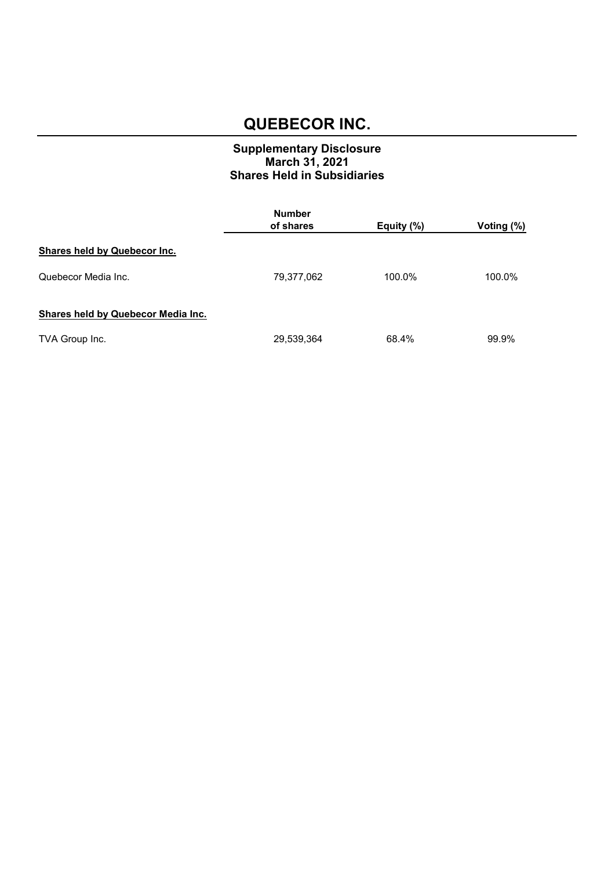#### **Supplementary Disclosure March 31, 2021 Shares Held in Subsidiaries**

|                                     | <b>Number</b> |            |            |  |  |
|-------------------------------------|---------------|------------|------------|--|--|
|                                     | of shares     | Equity (%) | Voting (%) |  |  |
| <b>Shares held by Quebecor Inc.</b> |               |            |            |  |  |
| Quebecor Media Inc.                 | 79,377,062    | 100.0%     | 100.0%     |  |  |
| Shares held by Quebecor Media Inc.  |               |            |            |  |  |
| TVA Group Inc.                      | 29,539,364    | 68.4%      | 99.9%      |  |  |